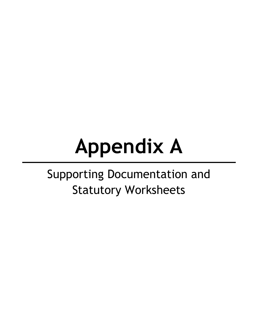# **Appendix A**

# Supporting Documentation and Statutory Worksheets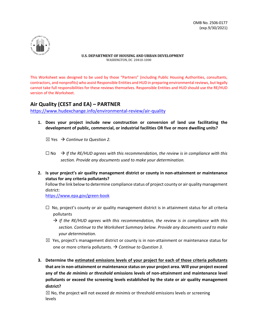

This Worksheet was designed to be used by those "Partners" (including Public Housing Authorities, consultants, contractors, and nonprofits) who assist Responsible Entities and HUD in preparing environmental reviews, but legally cannot take full responsibilities for these reviews themselves. Responsible Entities and HUD should use the RE/HUD version of the Worksheet.

# **Air Quality (CEST and EA) – PARTNER**

<https://www.hudexchange.info/environmental-review/air-quality>

**1. Does your project include new construction or conversion of land use facilitating the development of public, commercial, or industrial facilities OR five or more dwelling units?** 

 $\boxtimes$  Yes  $\rightarrow$  Continue to Question 2.

- $\Box$  No  $\rightarrow$  If the RE/HUD agrees with this recommendation, the review is in compliance with this *section. Provide any documents used to make your determination.*
- **2. Is your project's air quality management district or county in non-attainment or maintenance status for any criteria pollutants?**

Follow the link below to determine compliance status of project county or air quality management district:

<https://www.epa.gov/green-book>

- $\Box$  No, project's county or air quality management district is in attainment status for all criteria pollutants
	- $\rightarrow$  If the RE/HUD agrees with this recommendation, the review is in compliance with this *section. Continue to the Worksheet Summary below. Provide any documents used to make your determination.*
- $\boxtimes$  Yes, project's management district or county is in non-attainment or maintenance status for one or more criteria pollutants.  $\rightarrow$  Continue to Question 3.
- **3. Determine the estimated emissions levels of your project for each of those criteria pollutants that are in non-attainment or maintenance status on your project area. Will your project exceed any of the** *de minimis or threshold* **emissions levels of non-attainment and maintenance level pollutants or exceed the screening levels established by the state or air quality management district?**

 $\boxtimes$  No, the project will not exceed *de minimis* or threshold emissions levels or screening levels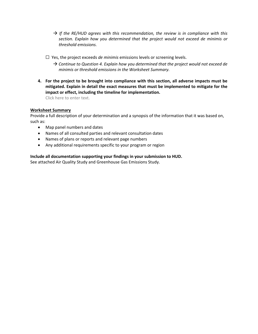- *If the RE/HUD agrees with this recommendation, the review is in compliance with this section. Explain how you determined that the project would not exceed de minimis or threshold emissions.*
- ☐ Yes, the project exceeds *de minimis* emissions levels or screening levels.
	- $\rightarrow$  Continue to Question 4. Explain how you determined that the project would not exceed de *minimis or threshold emissions in the Worksheet Summary.*
- **4. For the project to be brought into compliance with this section, all adverse impacts must be mitigated. Explain in detail the exact measures that must be implemented to mitigate for the impact or effect, including the timeline for implementation.**

Click here to enter text.

#### **Worksheet Summary**

Provide a full description of your determination and a synopsis of the information that it was based on, such as:

- Map panel numbers and dates
- Names of all consulted parties and relevant consultation dates
- Names of plans or reports and relevant page numbers
- Any additional requirements specific to your program or region

#### **Include all documentation supporting your findings in your submission to HUD.**

See attached Air Quality Study and Greenhouse Gas Emissions Study.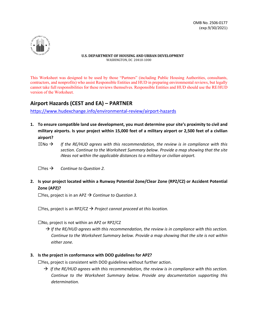

This Worksheet was designed to be used by those "Partners" (including Public Housing Authorities, consultants, contractors, and nonprofits) who assist Responsible Entities and HUD in preparing environmental reviews, but legally cannot take full responsibilities for these reviews themselves. Responsible Entities and HUD should use the RE/HUD version of the Worksheet.

# **Airport Hazards (CEST and EA) – PARTNER**

<https://www.hudexchange.info/environmental-review/airport-hazards>

- **1. To ensure compatible land use development, you must determine your site's proximity to civil and military airports. Is your project within 15,000 feet of a military airport or 2,500 feet of a civilian airport?** 
	- $\boxtimes$ No  $\rightarrow$  If the RE/HUD agrees with this recommendation, the review is in compliance with this *section. Continue to the Worksheet Summary below. Provide a map showing that the site iNeas not within the applicable distances to a military or civilian airport.*
	- $\Box$ Yes  $\rightarrow$  *Continue to Question 2.*
- **2. Is your project located within a Runway Potential Zone/Clear Zone (RPZ/CZ) or Accident Potential Zone (APZ)?**

☐Yes, project is in an APZ *Continue to Question 3.*

☐Yes, project is an RPZ/CZ *Project cannot proceed at this location.* 

☐No, project is not within an APZ or RPZ/CZ

- *If the RE/HUD agrees with this recommendation, the review is in compliance with this section. Continue to the Worksheet Summary below. Provide a map showing that the site is not within either zone.*
- **3. Is the project in conformance with DOD guidelines for APZ?**

☐Yes, project is consistent with DOD guidelines without further action.

 $\rightarrow$  If the RE/HUD agrees with this recommendation, the review is in compliance with this section. *Continue to the Worksheet Summary below. Provide any documentation supporting this determination.*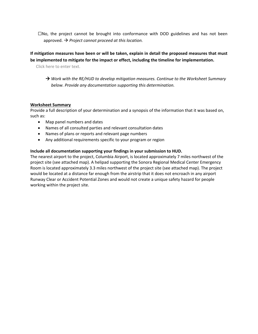$\square$ No, the project cannot be brought into conformance with DOD guidelines and has not been approved. *Project cannot proceed at this location.* 

# **If mitigation measures have been or will be taken, explain in detail the proposed measures that must be implemented to mitigate for the impact or effect, including the timeline for implementation.**

Click here to enter text.

 *Work with the RE/HUD to develop mitigation measures. Continue to the Worksheet Summary below. Provide any documentation supporting this determination.*

#### **Worksheet Summary**

Provide a full description of your determination and a synopsis of the information that it was based on, such as:

- Map panel numbers and dates
- Names of all consulted parties and relevant consultation dates
- Names of plans or reports and relevant page numbers
- Any additional requirements specific to your program or region

#### **Include all documentation supporting your findings in your submission to HUD.**

The nearest airport to the project, Columbia Airport, is located approximately 7 miles northwest of the project site (see attached map). A helipad supporting the Sonora Regional Medical Center Emergency Room is located approximately 3.3 miles northwest of the project site (see attached map). The project would be located at a distance far enough from the airstrip that it does not encroach in any airport Runway Clear or Accident Potential Zones and would not create a unique safety hazard for people working within the project site.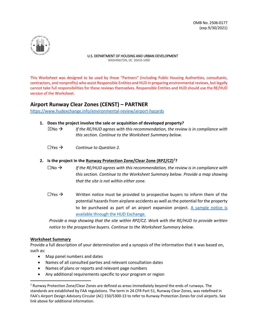

This Worksheet was designed to be used by those "Partners" (including Public Housing Authorities, consultants, contractors, and nonprofits) who assist Responsible Entities and HUD in preparing environmental reviews, but legally cannot take full responsibilities for these reviews themselves. Responsible Entities and HUD should use the RE/HUD version of the Worksheet.

# **Airport Runway Clear Zones (CENST) – PARTNER**

<https://www.hudexchange.info/environmental-review/airport-hazards>

#### **1. Does the project involve the sale or acquisition of developed property?**

- $\boxtimes$ No  $\rightarrow$  *If the RE/HUD agrees with this recommendation, the review is in compliance with this section. Continue to the Worksheet Summary below.*
- $\Box$ Yes  $\rightarrow$  *Continue to Question 2.*

#### **2. Is the project in the Runway Protection Zone/Clear Zone (RPZ/CZ)[1](#page-5-0) ?**

- ☐No *If the RE/HUD agrees with this recommendation, the review is in compliance with this section. Continue to the Worksheet Summary below. Provide a map showing that the site is not within either zone.*
- $\Box$ Yes  $\rightarrow$  Written notice must be provided to prospective buyers to inform them of the potential hazards from airplane accidents as well as the potential for the property to be purchased as part of an airport expansion project. [A sample notice is](https://www.hudexchange.info/resource/2758/notice-prospective-buyers-properties-in-runway-clear-zones/)  [available through the HUD Exchange.](https://www.hudexchange.info/resource/2758/notice-prospective-buyers-properties-in-runway-clear-zones/)

*Provide a map showing that the site within RPZ/CZ. Work with the RE/HUD to provide written notice to the prospective buyers. Continue to the Worksheet Summary below.* 

#### **Worksheet Summary**

Provide a full description of your determination and a synopsis of the information that it was based on, such as:

- Map panel numbers and dates
- Names of all consulted parties and relevant consultation dates
- Names of plans or reports and relevant page numbers
- Any additional requirements specific to your program or region

<span id="page-5-0"></span><sup>1</sup> Runway Protection Zone/Clear Zones are defined as areas immediately beyond the ends of runways. The standards are established by FAA regulations. The term in 24 CFR Part 51, Runway Clear Zones, was redefined in FAA's Airport Design Advisory Circular (AC) 150/5300-13 to refer to Runway Protection Zones for civil airports. See link above for additional information.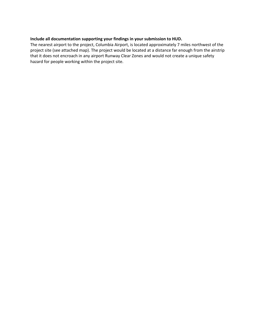#### **Include all documentation supporting your findings in your submission to HUD.**

The nearest airport to the project, Columbia Airport, is located approximately 7 miles northwest of the project site (see attached map). The project would be located at a distance far enough from the airstrip that it does not encroach in any airport Runway Clear Zones and would not create a unique safety hazard for people working within the project site.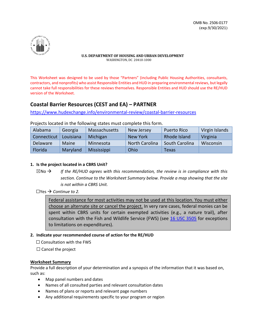

This Worksheet was designed to be used by those "Partners" (including Public Housing Authorities, consultants, contractors, and nonprofits) who assist Responsible Entities and HUD in preparing environmental reviews, but legally cannot take full responsibilities for these reviews themselves. Responsible Entities and HUD should use the RE/HUD version of the Worksheet.

# **Coastal Barrier Resources (CEST and EA) – PARTNER**

https://www.hudexchange.info/environmental-review/coastal-barrier-resources

| Alabama        | Georgia      | Massachusetts | New Jersey            | <b>Puerto Rico</b> | Virgin Islands |
|----------------|--------------|---------------|-----------------------|--------------------|----------------|
| Connecticut    | Louisiana    | Michigan      | New York              | Rhode Island       | Virginia       |
| Delaware       | <b>Maine</b> | Minnesota     | <b>North Carolina</b> | South Carolina     | Wisconsin      |
| <b>Florida</b> | Maryland     | Mississippi   | Ohio                  | Texas              |                |

Projects located in the following states must complete this form.

#### **1. Is the project located in a CBRS Unit?**

- $\boxtimes$ No  $\rightarrow$  If the RE/HUD agrees with this recommendation, the review is in compliance with this *section. Continue to the Worksheet Summary below. Provide a map showing that the site is not within a CBRS Unit.*
- $\Box$ Yes  $\rightarrow$  *Continue to 2.*

Federal assistance for most activities may not be used at this location. You must either choose an alternate site or cancel the project. In very rare cases, federal monies can be spent within CBRS units for certain exempted activities (e.g., a nature trail), after consultation with the Fish and Wildlife Service (FWS) (see [16 USC 3505](http://www.gpo.gov/fdsys/pkg/USCODE-2010-title16/pdf/USCODE-2010-title16-chap55-sec3505.pdf) for exceptions to limitations on expenditures).

#### **2. Indicate your recommended course of action for the RE/HUD**

□ Consultation with the FWS

 $\Box$  Cancel the project

#### **Worksheet Summary**

Provide a full description of your determination and a synopsis of the information that it was based on, such as:

- Map panel numbers and dates
- Names of all consulted parties and relevant consultation dates
- Names of plans or reports and relevant page numbers
- Any additional requirements specific to your program or region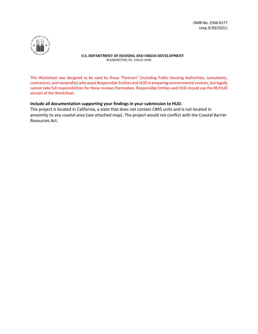

This Worksheet was designed to be used by those "Partners" (including Public Housing Authorities, consultants, contractors, and nonprofits) who assist Responsible Entities and HUD in preparing environmental reviews, but legally cannot take full responsibilities for these reviews themselves. Responsible Entities and HUD should use the RE/HUD version of the Worksheet.

#### **Include all documentation supporting your findings in your submission to HUD.**

This project is located in California, a state that does not contain CBRS units and is not located in proximity to any coastal area (see attached map). The project would not conflict with the Coastal Barrier Resources Act.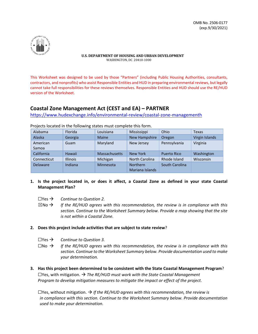

This Worksheet was designed to be used by those "Partners" (including Public Housing Authorities, consultants, contractors, and nonprofits) who assist Responsible Entities and HUD in preparing environmental reviews, but legally cannot take full responsibilities for these reviews themselves. Responsible Entities and HUD should use the RE/HUD version of the Worksheet.

# **Coastal Zone Management Act (CEST and EA) – PARTNER**

[https://www.hudexchange.info/environmental-review/coastal-zone-managementh](https://www.hudexchange.info/environmental-review/coastal-zone-management)

| Alabama           | Florida         | Louisiana            | Mississippi                        | Ohio                  | Texas          |
|-------------------|-----------------|----------------------|------------------------------------|-----------------------|----------------|
| Alaska            | Georgia         | <b>Maine</b>         | <b>New Hampshire</b>               | Oregon                | Virgin Islands |
| American<br>Samoa | Guam            | Maryland             | New Jersey                         | Pennsylvania          | Virginia       |
| California        | Hawaii          | <b>Massachusetts</b> | New York                           | <b>Puerto Rico</b>    | Washington     |
| Connecticut       | <b>Illinois</b> | Michigan             | <b>North Carolina</b>              | Rhode Island          | Wisconsin      |
| <b>Delaware</b>   | Indiana         | Minnesota            | <b>Northern</b><br>Mariana Islands | <b>South Carolina</b> |                |

Projects located in the following states must complete this form.

- **1. Is the project located in, or does it affect, a Coastal Zone as defined in your state Coastal Management Plan?**
	- $\Box$ Yes  $\rightarrow$  *Continue to Question 2.*
	- $\boxtimes$ No  $\rightarrow$  If the RE/HUD agrees with this recommendation, the review is in compliance with this *section. Continue to the Worksheet Summary below. Provide a map showing that the site is not within a Coastal Zone.*
- **2. Does this project include activities that are subject to state review**?
	- $\Box$ Yes  $\rightarrow$  *Continue to Question 3.*
	- $\square$ No  $\rightarrow$  If the RE/HUD agrees with this recommendation, the review is in compliance with this *section. Continue to the Worksheet Summary below. Provide documentation used to make your determination.*
- **3. Has this project been determined to be consistent with the State Coastal Management Program**?  $\Box$  Yes, with mitigation.  $\rightarrow$  The RE/HUD must work with the State Coastal Management *Program to develop mitigation measures to mitigate the impact or effect of the project.*

 $□Yes$ , without mitigation.  $\rightarrow$  *If the RE/HUD agrees with this recommendation, the review is in compliance with this section. Continue to the Worksheet Summary below. Provide documentation used to make your determination.*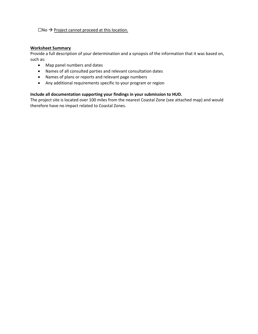#### $\square$ No  $\rightarrow$  Project cannot proceed at this location.

#### **Worksheet Summary**

Provide a full description of your determination and a synopsis of the information that it was based on, such as:

- Map panel numbers and dates
- Names of all consulted parties and relevant consultation dates
- Names of plans or reports and relevant page numbers
- Any additional requirements specific to your program or region

#### **Include all documentation supporting your findings in your submission to HUD.**

The project site is located over 100 miles from the nearest Coastal Zone (see attached map) and would therefore have no impact related to Coastal Zones.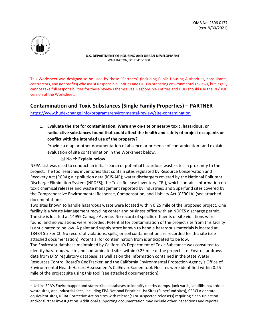

This Worksheet was designed to be used by those "Partners" (including Public Housing Authorities, consultants, contractors, and nonprofits) who assist Responsible Entities and HUD in preparing environmental reviews, but legally cannot take full responsibilities for these reviews themselves. Responsible Entities and HUD should use the RE/HUD version of the Worksheet.

# **Contamination and Toxic Substances (Single Family Properties) – PARTNER**

<https://www.hudexchange.info/programs/environmental-review/site-contamination>

**1. Evaluate the site for contamination. Were any on-site or nearby toxic, hazardous, or radioactive substances found that could affect the health and safety of project occupants or conflict with the intended use of the property?** 

Provide a map or other documentation of absence or presence of contamination<sup>[1](#page-11-0)</sup> and explain evaluation of site contamination in the Worksheet below.

#### $\boxtimes$  No  $\rightarrow$  Explain below.

NEPAssist was used to conduct an initial search of potential hazardous waste sites in proximity to the project. The tool searches inventories that contain sites regulated by Resource Conservation and Recovery Act (RCRA); air pollution data (ICIS-AIR); water dischargers covered by the National Pollutant Discharge Elimination System (NPDES); the Toxic Release Inventory (TRI), which contains information on toxic chemical releases and waste management reported by industries; and Superfund sites covered by the Comprehensive Environmental Response, Compensation, and Liability Act (CERCLA) (see attached documentation).

Two sites known to handle hazardous waste were located within 0.25 mile of the proposed project. One facility is a Waste Management recycling center and business office with an NDPES discharge permit. The site is located at 14959 Camage Avenue. No record of specific effluents or site violations were found, and no violations were recorded. Potential for contamination of the project site from this facility is anticipated to be low. A paint and supply store known to handle hazardous materials is located at 18484 Striker Ct. No record of violations, spills, or soil contamination are recorded for this site (see attached documentation). Potential for contamination from is anticipated to be low.

The Envirostar database maintained by California's Department of Toxic Substance was consulted to identify hazardous waste and contaminated sites within 0.25 mile of the project site. Envirostar draws data from DTS' regulatory database, as well as on the information contained in the State Water Resources Control Board's GeoTracker, and the California Environmental Protection Agency's Office of Environmental Health Hazard Assessment's CalEnviroScreen tool. No sites were identified within 0.25 mile of the project site using this tool (see attached documentation).

<span id="page-11-0"></span> $1$  Utilize EPA's Enviromapper and state/tribal databases to identify nearby dumps, junk yards, landfills, hazardous waste sites, and industrial sites, including EPA National Priorities List Sites (Superfund sites), CERCLA or stateequivalent sites, RCRA Corrective Action sites with release(s) or suspected release(s) requiring clean-up action and/or further investigation. Additional supporting documentation may include other inspections and reports.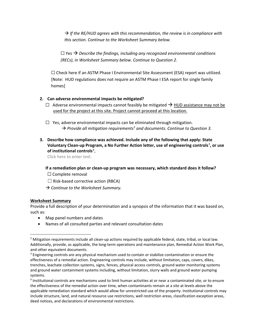$\rightarrow$  If the RE/HUD agrees with this recommendation, the review is in compliance with *this section. Continue to the Worksheet Summary below.*

 $\Box$  Yes  $\rightarrow$  Describe the findings, including any recognized environmental conditions *(RECs), in Worksheet Summary below. Continue to Question 2.*

 $\Box$  Check here if an ASTM Phase I Environmental Site Assessment (ESA) report was utilized. [Note: HUD regulations does not require an ASTM Phase I ESA report for single family homes]

#### **2. Can adverse environmental impacts be mitigated?**

 $□$  Adverse environmental impacts cannot feasibly be mitigated  $\rightarrow$  HUD assistance may not be used for the project at this site. Project cannot proceed at this location.

☐ Yes, adverse environmental impacts can be eliminated through mitigation. → Provide all mitigation requirements<sup>[2](#page-12-0)</sup> and documents. Continue to Question 3.

**3. Describe how compliance was achieved. Include any of the following that apply: State**  Voluntary Clean-up Program, a No Further Action letter, use of engineering controls<sup>[3](#page-12-1)</sup>, or use **of institutional controls**[4](#page-12-2) **.**

Click here to enter text.

#### **If a remediation plan or clean-up program was necessary, which standard does it follow?**

- □ Complete removal
- $\Box$  Risk-based corrective action (RBCA)
- *Continue to the Worksheet Summary.*

#### **Worksheet Summary**

Provide a full description of your determination and a synopsis of the information that it was based on, such as:

- Map panel numbers and dates
- Names of all consulted parties and relevant consultation dates

<span id="page-12-0"></span> $2$  Mitigation requirements include all clean-up actions required by applicable federal, state, tribal, or local law. Additionally, provide, as applicable, the long-term operations and maintenance plan, Remedial Action Work Plan, and other equivalent documents.<br><sup>3</sup> Engineering controls are any physical mechanism used to contain or stabilize contamination or ensure the

<span id="page-12-1"></span>effectiveness of a remedial action. Engineering controls may include, without limitation, caps, covers, dikes, trenches, leachate collection systems, signs, fences, physical access controls, ground water monitoring systems and ground water containment systems including, without limitation, slurry walls and ground water pumping systems.

<span id="page-12-2"></span><sup>4</sup> Institutional controls are mechanisms used to limit human activities at or near a contaminated site, or to ensure the effectiveness of the remedial action over time, when contaminants remain at a site at levels above the applicable remediation standard which would allow for unrestricted use of the property. Institutional controls may include structure, land, and natural resource use restrictions, well restriction areas, classification exception areas, deed notices, and declarations of environmental restrictions.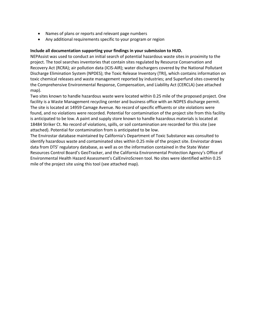- Names of plans or reports and relevant page numbers
- Any additional requirements specific to your program or region

#### **Include all documentation supporting your findings in your submission to HUD.**

NEPAssist was used to conduct an initial search of potential hazardous waste sites in proximity to the project. The tool searches inventories that contain sites regulated by Resource Conservation and Recovery Act (RCRA); air pollution data (ICIS-AIR); water dischargers covered by the National Pollutant Discharge Elimination System (NPDES); the Toxic Release Inventory (TRI), which contains information on toxic chemical releases and waste management reported by industries; and Superfund sites covered by the Comprehensive Environmental Response, Compensation, and Liability Act (CERCLA) (see attached map).

Two sites known to handle hazardous waste were located within 0.25 mile of the proposed project. One facility is a Waste Management recycling center and business office with an NDPES discharge permit. The site is located at 14959 Camage Avenue. No record of specific effluents or site violations were found, and no violations were recorded. Potential for contamination of the project site from this facility is anticipated to be low. A paint and supply store known to handle hazardous materials is located at 18484 Striker Ct. No record of violations, spills, or soil contamination are recorded for this site (see attached). Potential for contamination from is anticipated to be low.

The Envirostar database maintained by California's Department of Toxic Substance was consulted to identify hazardous waste and contaminated sites within 0.25 mile of the project site. Envirostar draws data from DTS' regulatory database, as well as on the information contained in the State Water Resources Control Board's GeoTracker, and the California Environmental Protection Agency's Office of Environmental Health Hazard Assessment's CalEnviroScreen tool. No sites were identified within 0.25 mile of the project site using this tool (see attached map).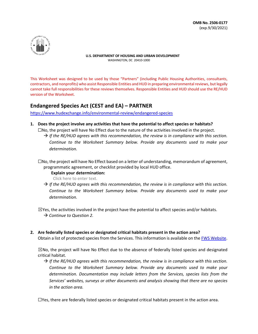

This Worksheet was designed to be used by those "Partners" (including Public Housing Authorities, consultants, contractors, and nonprofits) who assist Responsible Entities and HUD in preparing environmental reviews, but legally cannot take full responsibilities for these reviews themselves. Responsible Entities and HUD should use the RE/HUD version of the Worksheet.

# **Endangered Species Act (CEST and EA) – PARTNER**

https://www.hudexchange.info/environmental-review/endangered-species

- **1. Does the project involve any activities that have the potential to affect species or habitats?** 
	- ☐No, the project will have No Effect due to the nature of the activities involved in the project.  $\rightarrow$  If the RE/HUD agrees with this recommendation, the review is in compliance with this section. *Continue to the Worksheet Summary below. Provide any documents used to make your determination.*
	- $\square$ No, the project will have No Effect based on a letter of understanding, memorandum of agreement, programmatic agreement, or checklist provided by local HUD office.

**Explain your determination:** 

Click here to enter text.

 $\rightarrow$  If the RE/HUD agrees with this recommendation, the review is in compliance with this section. *Continue to the Worksheet Summary below. Provide any documents used to make your determination.* 

 $\boxtimes$ Yes, the activities involved in the project have the potential to affect species and/or habitats. → Continue to Question 2.

**2. Are federally listed species or designated critical habitats present in the action area?**

Obtain a list of protected species from the Services. This information is available on the **FWS Website**.

 $\boxtimes$ No, the project will have No Effect due to the absence of federally listed species and designated critical habitat.

 $\rightarrow$  If the RE/HUD agrees with this recommendation, the review is in compliance with this section. *Continue to the Worksheet Summary below. Provide any documents used to make your determination. Documentation may include letters from the Services, species lists from the Services' websites, surveys or other documents and analysis showing that there are no species in the action area.*

 $\Box$ Yes, there are federally listed species or designated critical habitats present in the action area.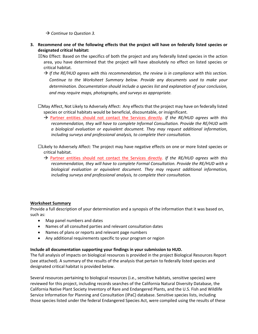- *Continue to Question 3.*
- **3. Recommend one of the following effects that the project will have on federally listed species or designated critical habitat:**
	- $\boxtimes$ No Effect: Based on the specifics of both the project and any federally listed species in the action area, you have determined that the project will have absolutely no effect on listed species or critical habitat.
		- $\rightarrow$  If the RE/HUD agrees with this recommendation, the review is in compliance with this section. *Continue to the Worksheet Summary below. Provide any documents used to make your determination. Documentation should include a species list and explanation of your conclusion, and may require maps, photographs, and surveys as appropriate.*
	- ☐May Affect, Not Likely to Adversely Affect: Any effects that the project may have on federally listed species or critical habitats would be beneficial, discountable, or insignificant.
		- Partner entities should not contact the Services directly. *If the RE/HUD agrees with this recommendation, they will have to complete Informal Consultation. Provide the RE/HUD with a biological evaluation or equivalent document. They may request additional information, including surveys and professional analysis, to complete their consultation.*
	- ☐Likely to Adversely Affect: The project may have negative effects on one or more listed species or critical habitat.
		- → Partner entities should not contact the Services directly. If the RE/HUD agrees with this *recommendation, they will have to complete Formal Consultation. Provide the RE/HUD with a biological evaluation or equivalent document. They may request additional information, including surveys and professional analysis, to complete their consultation.*

#### **Worksheet Summary**

Provide a full description of your determination and a synopsis of the information that it was based on, such as:

- Map panel numbers and dates
- Names of all consulted parties and relevant consultation dates
- Names of plans or reports and relevant page numbers
- Any additional requirements specific to your program or region

#### **Include all documentation supporting your findings in your submission to HUD.**

The full analysis of impacts on biological resources is provided in the project Biological Resources Report (see attached). A summary of the results of the analysis that pertain to federally listed species and designated critical habitat is provided below.

Several resources pertaining to biological resources (i.e., sensitive habitats, sensitive species) were reviewed for this project, including records searches of the California Natural Diversity Database, the California Native Plant Society Inventory of Rare and Endangered Plants, and the U.S. Fish and Wildlife Service Information for Planning and Consultation (IPaC) database. Sensitive species lists, including those species listed under the federal Endangered Species Act, were compiled using the results of these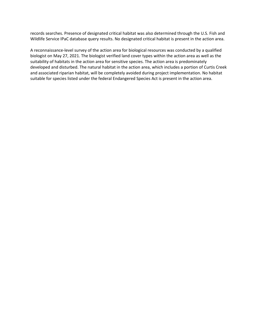records searches. Presence of designated critical habitat was also determined through the U.S. Fish and Wildlife Service IPaC database query results. No designated critical habitat is present in the action area.

A reconnaissance-level survey of the action area for biological resources was conducted by a qualified biologist on May 27, 2021. The biologist verified land cover types within the action area as well as the suitability of habitats in the action area for sensitive species. The action area is predominately developed and disturbed. The natural habitat in the action area, which includes a portion of Curtis Creek and associated riparian habitat, will be completely avoided during project implementation. No habitat suitable for species listed under the federal Endangered Species Act is present in the action area.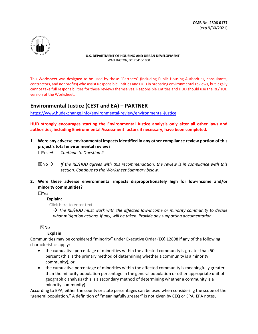

This Worksheet was designed to be used by those "Partners" (including Public Housing Authorities, consultants, contractors, and nonprofits) who assist Responsible Entities and HUD in preparing environmental reviews, but legally cannot take full responsibilities for these reviews themselves. Responsible Entities and HUD should use the RE/HUD version of the Worksheet.

# **Environmental Justice (CEST and EA) – PARTNER**

https://www.hudexchange.info/environmental-review/environmental-justice

**HUD strongly encourages starting the Environmental Justice analysis only after all other laws and authorities, including Environmental Assessment factors if necessary, have been completed.** 

- **1. Were any adverse environmental impacts identified in any other compliance review portion of this project's total environmental review?** 
	- ☐Yes *Continue to Question 2.*
	- $\boxtimes$ No  $\rightarrow$  If the RE/HUD agrees with this recommendation, the review is in compliance with this *section. Continue to the Worksheet Summary below.*
- **2. Were these adverse environmental impacts disproportionately high for low-income and/or minority communities?**

☐Yes

#### **Explain:**

Click here to enter text.

 $\rightarrow$  The RE/HUD must work with the affected low-income or minority community to decide *what mitigation actions, if any, will be taken. Provide any supporting documentation.* 

#### ☒No

#### **Explain:**

Communities may be considered "minority" under Executive Order (EO) 12898 if any of the following characteristics apply:

- the cumulative percentage of minorities within the affected community is greater than 50 percent (this is the primary method of determining whether a community is a minority community), or
- the cumulative percentage of minorities within the affected community is meaningfully greater than the minority population percentage in the general population or other appropriate unit of geographic analysis (this is a secondary method of determining whether a community is a minority community).

According to EPA, either the county or state percentages can be used when considering the scope of the "general population." A definition of "meaningfully greater" is not given by CEQ or EPA. EPA notes,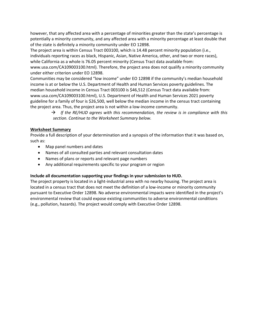however, that any affected area with a percentage of minorities greater than the state's percentage is potentially a minority community, and any affected area with a minority percentage at least double that of the state is definitely a minority community under EO 12898.

The project area is within Census Tract 003100, which is 14.48 percent minority population (i.e., individuals reporting races as black, Hispanic, Asian, Native America, other, and two or more races), while California as a whole is 76.05 percent minority (Census Tract data available from: www.usa.com/CA109003100.html). Therefore, the project area does not qualify a minority community under either criterion under EO 12898.

Communities may be considered "low income" under EO 12898 if the community's median household income is at or below the U.S. Department of Health and Human Services poverty guidelines. The median household income in Census Tract 003100 is \$46,512 (Census Tract data available from: www.usa.com/CA109003100.html), U.S. Department of Health and Human Services 2021 poverty guideline for a family of four is \$26,500, well below the median income in the census tract containing the project area. Thus, the project area is not within a low-income community.

> $\rightarrow$  If the RE/HUD agrees with this recommendation, the review is in compliance with this *section. Continue to the Worksheet Summary below.*

#### **Worksheet Summary**

Provide a full description of your determination and a synopsis of the information that it was based on, such as:

- Map panel numbers and dates
- Names of all consulted parties and relevant consultation dates
- Names of plans or reports and relevant page numbers
- Any additional requirements specific to your program or region

#### **Include all documentation supporting your findings in your submission to HUD.**

The project property is located in a light-industrial area with no nearby housing. The project area is located in a census tract that does not meet the definition of a low-income or minority community pursuant to Executive Order 12898. No adverse environmental impacts were identified in the project's environmental review that could expose existing communities to adverse environmental conditions (e.g., pollution, hazards). The project would comply with Executive Order 12898.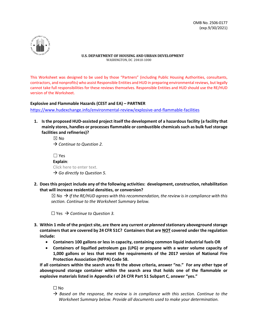

This Worksheet was designed to be used by those "Partners" (including Public Housing Authorities, consultants, contractors, and nonprofits) who assist Responsible Entities and HUD in preparing environmental reviews, but legally cannot take full responsibilities for these reviews themselves. Responsible Entities and HUD should use the RE/HUD version of the Worksheet.

#### **Explosive and Flammable Hazards (CEST and EA) – PARTNER**

<https://www.hudexchange.info/environmental-review/explosive-and-flammable-facilities>

**1. Is the proposed HUD-assisted project itself the development of a hazardous facility (a facility that mainly stores, handles or processes flammable or combustible chemicals such as bulk fuel storage facilities and refineries)?** 

> $\boxtimes$  No *Continue to Question 2.*   $\Box$  Yes

| l I Yes                                  |
|------------------------------------------|
| Explain:                                 |
| Click here to enter text.                |
| $\rightarrow$ Go directly to Question 5. |

**2. Does this project include any of the following activities: development, construction, rehabilitation that will increase residential densities, or conversion?** 

 $\boxtimes$  No  $\rightarrow$  If the RE/HUD agrees with this recommendation, the review is in compliance with this *section. Continue to the Worksheet Summary below.*

☐ Yes *Continue to Question 3.* 

- **3. Within 1 mile of the project site, are there any current** *or planned* **stationary aboveground storage containers that are covered by 24 CFR 51C? Containers that are NOT covered under the regulation include:**
	- **Containers 100 gallons or less in capacity, containing common liquid industrial fuels OR**
	- **Containers of liquified petroleum gas (LPG) or propane with a water volume capacity of 1,000 gallons or less that meet the requirements of the 2017 version of National Fire Protection Association (NFPA) Code 58.**

**If all containers within the search area fit the above criteria, answer "no." For any other type of aboveground storage container within the search area that holds one of the flammable or explosive materials listed in Appendix I of 24 CFR Part 51 Subpart C, answer "yes."**

 $\square$  No

 $\rightarrow$  Based on the response, the review is in compliance with this section. Continue to the *Worksheet Summary below. Provide all documents used to make your determination.*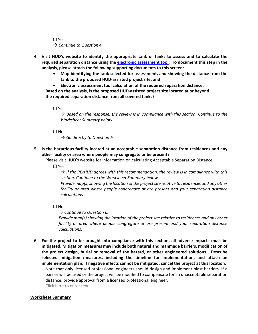☐ Yes → *Continue to Question 4.* 

- **4. Visit [HUD's website](https://www.onecpd.info/environmental-review/explosive-and-flammable-facilities) to identify the appropriate tank or tanks to assess and to calculate the required separation distance using the [electronic assessment tool.](https://www.hudexchange.info/programs/environmental-review/asd-calculator/) To document this step in the analysis, please attach the following supporting documents to this screen:**
	- **Map identifying the tank selected for assessment, and showing the distance from the tank to the proposed HUD-assisted project site; and**
	- **Electronic assessment tool calculation of the required separation distance.**

**Based on the analysis, is the proposed HUD-assisted project site located at or beyond the required separation distance from all covered tanks?**

☐ Yes

 $\rightarrow$  Based on the response, the review is in compliance with this section. Continue to the *Worksheet Summary below.*

☐ No

→ Go directly to Question 6.

**5. Is the hazardous facility located at an acceptable separation distance from residences and any other facility or area where people may congregate or be present?** 

Please visi[t HUD's website](https://www.onecpd.info/environmental-review/explosive-and-flammable-facilities) for information on calculating Acceptable Separation Distance.

☐ Yes

 $\rightarrow$  If the RE/HUD agrees with this recommendation, the review is in compliance with this *section. Continue to the Worksheet Summary below.* 

*Provide map(s) showing the location of the project site relative to residences and any other facility or area where people congregate or are present and your separation distance calculations.* 

☐ No

*Continue to Question 6.* 

*Provide map(s) showing the location of the project site relative to residences and any other facility or area where people congregate or are present and your separation distance calculations.* 

**6. For the project to be brought into compliance with this section, all adverse impacts must be mitigated. Mitigation measures may include both natural and manmade barriers, modification of the project design, burial or removal of the hazard, or other engineered solutions. Describe selected mitigation measures, including the timeline for implementation, and attach an implementation plan. If negative effects cannot be mitigated, cancel the project at this location.**  Note that only licensed professional engineers should design and implement blast barriers. If a barrier will be used or the project will be modified to compensate for an unacceptable separation distance, provide approval from a licensed professional engineer. Click here to enter text.

#### **Worksheet Summary**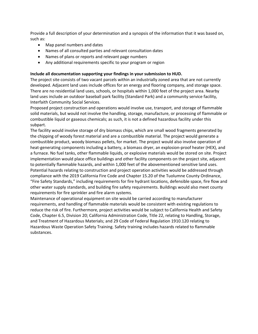Provide a full description of your determination and a synopsis of the information that it was based on, such as:

- Map panel numbers and dates
- Names of all consulted parties and relevant consultation dates
- Names of plans or reports and relevant page numbers
- Any additional requirements specific to your program or region

#### **Include all documentation supporting your findings in your submission to HUD.**

The project site consists of two vacant parcels within an industrially zoned area that are not currently developed. Adjacent land uses include offices for an energy and flooring company, and storage space. There are no residential land uses, schools, or hospitals within 1,000 feet of the project area. Nearby land uses include an outdoor baseball park facility (Standard Park) and a community service facility, Interfaith Community Social Services.

Proposed project construction and operations would involve use, transport, and storage of flammable solid materials, but would not involve the handling, storage, manufacture, or processing of flammable or combustible liquid or gaseous chemicals; as such, it is not a defined hazardous facility under this subpart.

The facility would involve storage of dry biomass chips, which are small wood fragments generated by the chipping of woody forest material and are a combustible material. The project would generate a combustible product, woody biomass pellets, for market. The project would also involve operation of heat-generating components including a battery, a biomass dryer, an explosion-proof heater (HEX), and a furnace. No fuel tanks, other flammable liquids, or explosive materials would be stored on site. Project implementation would place office buildings and other facility components on the project site, adjacent to potentially flammable hazards, and within 1,000 feet of the abovementioned sensitive land uses. Potential hazards relating to construction and project operation activities would be addressed through compliance with the 2019 California Fire Code and Chapter 15.20 of the Tuolumne County Ordinance, "Fire Safety Standards," including requirements for fire hydrant locations, defensible space, fire flow and other water supply standards, and building fire safety requirements. Buildings would also meet county requirements for fire sprinkler and fire alarm systems.

Maintenance of operational equipment on site would be carried according to manufacturer requirements, and handling of flammable materials would be consistent with existing regulations to reduce the risk of fire. Furthermore, project activities would be subject to California Health and Safety Code, Chapter 6.5, Division 20; California Administration Code, Title 22, relating to Handling, Storage, and Treatment of Hazardous Materials; and 29 Code of Federal Regulation 1910.120 relating to Hazardous Waste Operation Safety Training. Safety training includes hazards related to flammable substances.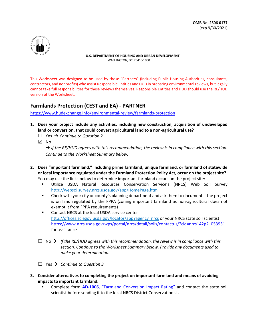

This Worksheet was designed to be used by those "Partners" (including Public Housing Authorities, consultants, contractors, and nonprofits) who assist Responsible Entities and HUD in preparing environmental reviews, but legally cannot take full responsibilities for these reviews themselves. Responsible Entities and HUD should use the RE/HUD version of the Worksheet.

# **Farmlands Protection (CEST and EA) - PARTNER**

https://www.hudexchange.info/environmental-review/farmlands-protection

- **1. Does your project include any activities, including new construction, acquisition of undeveloped land or conversion, that could convert agricultural land to a non-agricultural use?**
	- $\Box$  Yes  $\rightarrow$  Continue to Question 2.
	- ☒ No

 *If the RE/HUD agrees with this recommendation, the review is in compliance with this section. Continue to the Worksheet Summary below.* 

- **2. Does "important farmland," including prime farmland, unique farmland, or farmland of statewide or local importance regulated under the Farmland Protection Policy Act, occur on the project site?**  You may use the links below to determine important farmland occurs on the project site:
	- Utilize USDA Natural Resources Conservation Service's (NRCS) Web Soil Survey <http://websoilsurvey.nrcs.usda.gov/app/HomePage.htm>
	- Check with your city or county's planning department and ask them to document if the project is on land regulated by the FPPA (zoning important farmland as non-agricultural does not exempt it from FPPA requirements)
	- Contact NRCS at the local USDA service center <http://offices.sc.egov.usda.gov/locator/app?agency=nrcs> or your NRCS state soil scientist [https://www.nrcs.usda.gov/wps/portal/nrcs/detail/soils/contactus/?cid=nrcs142p2\\_053951](https://www.nrcs.usda.gov/wps/portal/nrcs/detail/soils/contactus/?cid=nrcs142p2_053951%20) for assistance
	- $\Box$  No  $\rightarrow$  If the RE/HUD agrees with this recommendation, the review is in compliance with this *section. Continue to the Worksheet Summary below. Provide any documents used to make your determination.*
	- $\Box$  Yes  $\rightarrow$  Continue to Question 3.
- **3. Consider alternatives to completing the project on important farmland and means of avoiding impacts to important farmland.** 
	- Complete form **AD-1006**[, "Farmland Conversion Impact Rating" a](http://www.nrcs.usda.gov/Internet/FSE_DOCUMENTS/stelprdb1045394.pdf)nd contact the state soil scientist before sending it to the local NRCS District Conservationist.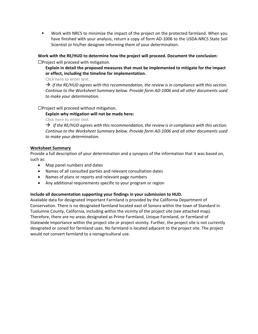Work with NRCS to minimize the impact of the project on the protected farmland. When you have finished with your analysis, return a copy of form AD-1006 to the USDA-NRCS State Soil Scientist or his/her designee informing them of your determination.

#### **Work with the RE/HUD to determine how the project will proceed. Document the conclusion:** ☐Project will proceed with mitigation.

**Explain in detail the proposed measures that must be implemented to mitigate for the impact or effect, including the timeline for implementation.** 

Click here to enter text.

 *If the RE/HUD agrees with this recommendation, the review is in compliance with this section. Continue to the Worksheet Summary below. Provide form AD-1006 and all other documents used to make your determination.*

#### ☐Project will proceed without mitigation.

#### **Explain why mitigation will not be made here:**

Click here to enter text.

 $\rightarrow$  If the RE/HUD agrees with this recommendation, the review is in compliance with this section. *Continue to the Worksheet Summary below. Provide form AD-1006 and all other documents used to make your determination.*

#### **Worksheet Summary**

Provide a full description of your determination and a synopsis of the information that it was based on, such as:

- Map panel numbers and dates
- Names of all consulted parties and relevant consultation dates
- Names of plans or reports and relevant page numbers
- Any additional requirements specific to your program or region

#### **Include all documentation supporting your findings in your submission to HUD.**

Available data for designated Important Farmland is provided by the California Department of Conservation. There is no designated farmland located east of Sonora within the town of Standard in Tuolumne County, California, including within the vicinity of the project site (see attached map). Therefore, there are no areas designated as Prime Farmland, Unique Farmland, or Farmland of Statewide Importance within the project site or project vicinity. Further, the project site is not currently designated or zoned for farmland uses. No farmland is located adjacent to the project site. The project would not convert farmland to a nonagricultural use.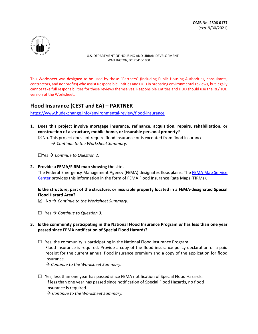**OMB No. 2506-0177** (exp. 9/30/2021)



U.S. DEPARTMENT OF HOUSING AND URBAN DEVELOPMENT WASHINGTON, DC 20410-1000

This Worksheet was designed to be used by those "Partners" (including Public Housing Authorities, consultants, contractors, and nonprofits) who assist Responsible Entities and HUD in preparing environmental reviews, but legally cannot take full responsibilities for these reviews themselves. Responsible Entities and HUD should use the RE/HUD version of the Worksheet.

# **Flood Insurance (CEST and EA) – PARTNER**

<https://www.hudexchange.info/environmental-review/flood-insurance>

**1. Does this project involve mortgage insurance, refinance, acquisition, repairs, rehabilitation, or construction of a structure, mobile home, or insurable personal property**?

 $\boxtimes$ No. This project does not require flood insurance or is excepted from flood insurance. → Continue to the Worksheet Summary.

☐Yes *Continue to Question 2.*

**2. Provide a FEMA/FIRM map showing the site.**

The Federal Emergency Management Agency (FEMA) designates floodplains. The FEMA Map Service [Center](https://msc.fema.gov/portal/home) provides this information in the form of FEMA Flood Insurance Rate Maps (FIRMs).

#### **Is the structure, part of the structure, or insurable property located in a FEMA-designated Special Flood Hazard Area?**

- $\boxtimes$  No  $\rightarrow$  Continue to the Worksheet Summary.
- ☐ Yes *Continue to Question 3.*

#### **3. Is the community participating in the National Flood Insurance Program** *or* **has less than one year passed since FEMA notification of Special Flood Hazards?**

- $\Box$  Yes, the community is participating in the National Flood Insurance Program. Flood insurance is required. Provide a copy of the flood insurance policy declaration or a paid receipt for the current annual flood insurance premium and a copy of the application for flood insurance.
	- *Continue to the Worksheet Summary.*
- $\Box$  Yes, less than one year has passed since FEMA notification of Special Flood Hazards. If less than one year has passed since notification of Special Flood Hazards, no flood Insurance is required.

*Continue to the Worksheet Summary.*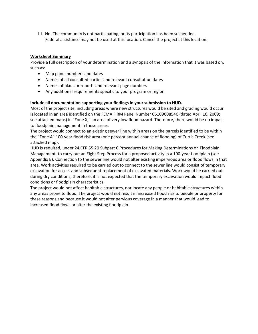$\Box$  No. The community is not participating, or its participation has been suspended. Federal assistance may not be used at this location. Cancel the project at this location.

#### **Worksheet Summary**

Provide a full description of your determination and a synopsis of the information that it was based on, such as:

- Map panel numbers and dates
- Names of all consulted parties and relevant consultation dates
- Names of plans or reports and relevant page numbers
- Any additional requirements specific to your program or region

#### **Include all documentation supporting your findings in your submission to HUD.**

Most of the project site, including areas where new structures would be sited and grading would occur is located in an area identified on the FEMA FIRM Panel Number 06109C0854C (dated April 16, 2009; see attached maps) in "Zone X," an area of very low flood hazard. Therefore, there would be no impact to floodplain management in these areas.

The project would connect to an existing sewer line within areas on the parcels identified to be within the "Zone A" 100-year flood risk area (one percent annual chance of flooding) of Curtis Creek (see attached map).

HUD is required, under 24 CFR 55.20 Subpart C Procedures for Making Determinations on Floodplain Management, to carry out an Eight Step Process for a proposed activity in a 100-year floodplain (see Appendix B). Connection to the sewer line would not alter existing impervious area or flood flows in that area. Work activities required to be carried out to connect to the sewer line would consist of temporary excavation for access and subsequent replacement of excavated materials. Work would be carried out during dry conditions; therefore, it is not expected that the temporary excavation would impact flood conditions or floodplain characteristics.

The project would not affect habitable structures, nor locate any people or habitable structures within any areas prone to flood. The project would not result in increased flood risk to people or property for these reasons and because it would not alter pervious coverage in a manner that would lead to increased flood flows or alter the existing floodplain.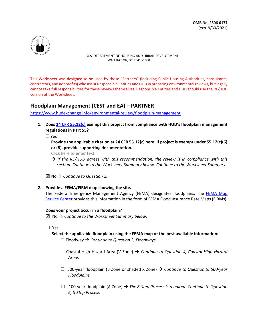

This Worksheet was designed to be used by those "Partners" (including Public Housing Authorities, consultants, contractors, and nonprofits) who assist Responsible Entities and HUD in preparing environmental reviews, but legally cannot take full responsibilities for these reviews themselves. Responsible Entities and HUD should use the RE/HUD version of the Worksheet.

# **Floodplain Management (CEST and EA) – PARTNER**

<https://www.hudexchange.info/environmental-review/floodplain-management>

**1. Does [24 CFR 55.12\(c\)](http://www.gpo.gov/fdsys/pkg/CFR-2010-title24-vol1/pdf/CFR-2010-title24-vol1-sec55-12.pdf) exempt this project from compliance with HUD's floodplain management regulations in Part 55?** 

☐ Yes

**Provide the applicable citation at 24 CFR 55.12(c) here. If project is exempt under 55.12(c)(6) or (8), provide supporting documentation.**

Click here to enter text.

 $\rightarrow$  If the RE/HUD agrees with this recommendation, the review is in compliance with this *section. Continue to the Worksheet Summary below. Continue to the Worksheet Summary.*

 $\boxtimes$  No  $\rightarrow$  Continue to Question 2.

**2. Provide a FEMA/FIRM map showing the site.**

The Federal Emergency Management Agency (FEMA) designates floodplains. The [FEMA Map](https://msc.fema.gov/portal/home)  [Service Center](https://msc.fema.gov/portal/home) provides this information in the form of FEMA Flood Insurance Rate Maps (FIRMs).

#### **Does your project occur in a floodplain?**

 $\boxtimes$  No  $\rightarrow$  Continue to the Worksheet Summary below.

☐ Yes

 **Select the applicable floodplain using the FEMA map or the best available information:** 

☐ Floodway *Continue to Question 3, Floodways* 

- ☐ Coastal High Hazard Area (V Zone) *Continue to Question 4, Coastal High Hazard Areas*
- ☐ 500-year floodplain (B Zone or shaded X Zone) *Continue to Question 5, 500-year Floodplains*
- $\Box$  100-year floodplain (A Zone)  $\rightarrow$  The 8-Step Process is required. Continue to Question *6, 8-Step Process*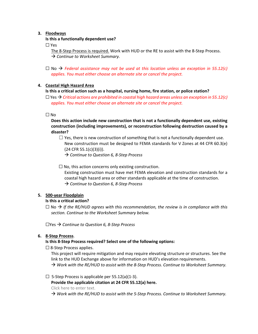#### **3. Floodways**

#### **Is this a functionally dependent use?**

☐ Yes

The 8-Step Process is required. Work with HUD or the RE to assist with the 8-Step Process. **→ Continue to Worksheet Summary.** 

☐ No *Federal assistance may not be used at this location unless an exception in 55.12(c) applies. You must either choose an alternate site or cancel the project.*

#### **4. Coastal High Hazard Area**

#### **Is this a critical action such as a hospital, nursing home, fire station, or police station?**

☐ Yes *Critical actions are prohibited in coastal high hazard areas unless an exception in 55.12(c) applies. You must either choose an alternate site or cancel the project.*

#### $\Box$  No

**Does this action include new construction that is not a functionally dependent use, existing construction (including improvements), or reconstruction following destruction caused by a disaster?** 

 $\Box$  Yes, there is new construction of something that is not a functionally dependent use. New construction must be designed to FEMA standards for V Zones at 44 CFR 60.3(e) (24 CFR 55.1(c)(3)(i)).

*Continue to Question 6, 8-Step Process* 

 $\Box$  No, this action concerns only existing construction.

Existing construction must have met FEMA elevation and construction standards for a coastal high hazard area or other standards applicable at the time of construction. *Continue to Question 6, 8-Step Process* 

#### **5. 500-year Floodplain**

#### **Is this a critical action?**

 $\Box$  No  $\rightarrow$  If the RE/HUD agrees with this recommendation, the review is in compliance with this *section. Continue to the Worksheet Summary below.* 

☐Yes *Continue to Question 6, 8-Step Process* 

#### **6. 8-Step Process**.

#### **Is this 8-Step Process required? Select one of the following options:**

□ 8-Step Process applies.

This project will require mitigation and may require elevating structure or structures. See the link to the HUD Exchange above for information on HUD's elevation requirements. *Work with the RE/HUD to assist with the 8-Step Process. Continue to Worksheet Summary.*

#### $\Box$  5-Step Process is applicable per 55.12(a)(1-3).

**Provide the applicable citation at 24 CFR 55.12(a) here.**

Click here to enter text.

*Work with the RE/HUD to assist with the 5-Step Process. Continue to Worksheet Summary.*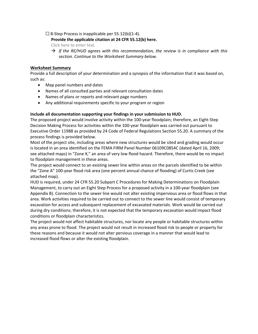#### $\Box$  8-Step Process is inapplicable per 55.12(b)(1-4).

#### **Provide the applicable citation at 24 CFR 55.12(b) here.**

Click here to enter text.

 $\rightarrow$  If the RE/HUD agrees with this recommendation, the review is in compliance with this *section. Continue to the Worksheet Summary below.*

#### **Worksheet Summary**

Provide a full description of your determination and a synopsis of the information that it was based on, such as:

- Map panel numbers and dates
- Names of all consulted parties and relevant consultation dates
- Names of plans or reports and relevant page numbers
- Any additional requirements specific to your program or region

#### **Include all documentation supporting your findings in your submission to HUD.**

The proposed project would involve activity within the 100-year floodplain; therefore, an Eight-Step Decision Making Process for activities within the 100-year floodplain was carried out pursuant to Executive Order 11988 as provided by 24 Code of Federal Regulations Section 55.20. A summary of the process findings is provided below.

Most of the project site, including areas where new structures would be sited and grading would occur is located in an area identified on the FEMA FIRM Panel Number 06109C0854C (dated April 16, 2009; see attached maps) in "Zone X," an area of very low flood hazard. Therefore, there would be no impact to floodplain management in these areas.

The project would connect to an existing sewer line within areas on the parcels identified to be within the "Zone A" 100-year flood risk area (one percent annual chance of flooding) of Curtis Creek (see attached map).

HUD is required, under 24 CFR 55.20 Subpart C Procedures for Making Determinations on Floodplain Management, to carry out an Eight Step Process for a proposed activity in a 100-year floodplain (see Appendix B). Connection to the sewer line would not alter existing impervious area or flood flows in that area. Work activities required to be carried out to connect to the sewer line would consist of temporary excavation for access and subsequent replacement of excavated materials. Work would be carried out during dry conditions; therefore, it is not expected that the temporary excavation would impact flood conditions or floodplain characteristics.

The project would not affect habitable structures, nor locate any people or habitable structures within any areas prone to flood. The project would not result in increased flood risk to people or property for these reasons and because it would not alter pervious coverage in a manner that would lead to increased flood flows or alter the existing floodplain.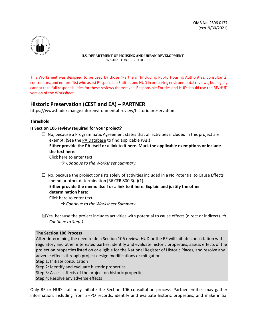

This Worksheet was designed to be used by those "Partners" (including Public Housing Authorities, consultants, contractors, and nonprofits) who assist Responsible Entities and HUD in preparing environmental reviews, but legally cannot take full responsibilities for these reviews themselves. Responsible Entities and HUD should use the RE/HUD version of the Worksheet.

# **Historic Preservation (CEST and EA) – PARTNER**

https://www.hudexchange.info/environmental-review/historic-preservation

#### **Threshold**

#### **Is Section 106 review required for your project?**

 $\Box$  No, because a Programmatic Agreement states that all activities included in this project are exempt. (See the [PA Database](https://www.hudexchange.info/resource/3675/section-106-agreement-database/) to find applicable PAs.)

**Either provide the PA itself or a link to it here. Mark the applicable exemptions or include the text here:**

Click here to enter text.

→ Continue to the Worksheet Summary.

 $\Box$  No, because the project consists solely of activities included in a No Potential to Cause Effects memo or other determination [36 CFR 800.3(a)(1)].

#### **Either provide the memo itself or a link to it here. Explain and justify the other determination here:**

Click here to enter text.

→ Continue to the Worksheet Summary.

 $\boxtimes$ Yes, because the project includes activities with potential to cause effects (direct or indirect).  $\rightarrow$ *Continue to Step 1.* 

#### **The Section 106 Process**

After determining the need to do a Section 106 review, HUD or the RE will initiate consultation with regulatory and other interested parties, identify and evaluate historic properties, assess effects of the project on properties listed on or eligible for the National Register of Historic Places, and resolve any adverse effects through project design modifications or mitigation.

Step 1: Initiate consultation

Step 2: Identify and evaluate historic properties

Step 3: Assess effects of the project on historic properties

Step 4: Resolve any adverse effects

Only RE or HUD staff may initiate the Section 106 consultation process. Partner entities may gather information, including from SHPO records, identify and evaluate historic properties, and make initial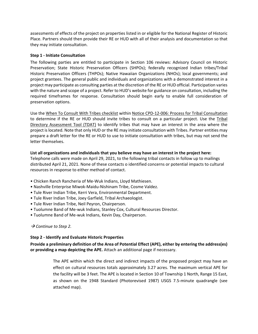assessments of effects of the project on properties listed in or eligible for the National Register of Historic Place. Partners should then provide their RE or HUD with all of their analysis and documentation so that they may initiate consultation.

#### **Step 1 - Initiate Consultation**

The following parties are entitled to participate in Section 106 reviews: Advisory Council on Historic Preservation; State Historic Preservation Officers (SHPOs); federally recognized Indian tribes/Tribal Historic Preservation Officers (THPOs); Native Hawaiian Organizations (NHOs); local governments; and project grantees. The general public and individuals and organizations with a demonstrated interest in a project may participate as consulting parties at the discretion of the RE or HUD official. Participation varies with the nature and scope of a project. Refer to HUD's website for guidance on consultation, including the required timeframes for response. Consultation should begin early to enable full consideration of preservation options.

Use th[e When To Consult With Tribes checklist](https://www.hudexchange.info/resource/3770/when-to-consult-with-tribes-under-section-106-checklist/) within [Notice CPD-12-006: Process for Tribal Consultation](https://www.hudexchange.info/resource/2448/notice-cpd-12-006-tribal-consultation-under-24-cfr-part-58/) to determine if the RE or HUD should invite tribes to consult on a particular project. Use the [Tribal](https://egis.hud.gov/tdat/)  [Directory Assessment Tool \(TDAT\)](https://egis.hud.gov/tdat/) to identify tribes that may have an interest in the area where the project is located. Note that only HUD or the RE may initiate consultation with Tribes. Partner entities may prepare a draft letter for the RE or HUD to use to initiate consultation with tribes, but may not send the letter themselves.

#### **List all organizations and individuals that you believe may have an interest in the project here:**

Telephone calls were made on April 29, 2021, to the following tribal contacts in follow up to mailings distributed April 21, 2021. None of these contacts o identified concerns or potential impacts to cultural resources in response to either method of contact.

- Chicken Ranch Rancheria of Me-Wuk Indians, Lloyd Mathiesen.
- Nashville Enterprise Miwok-Maidu-Nishinam Tribe, Cosme Valdez.
- Tule River Indian Tribe, Kerri Vera, Environmental Department.
- Tule River Indian Tribe, Joey Garfield, Tribal Archaeologist.
- Tule River Indian Tribe, Neil Peyron, Chairperson.
- Tuolumne Band of Me-wuk Indians, Stanley Cox, Cultural Resources Director.
- Tuolumne Band of Me-wuk Indians, Kevin Day, Chairperson.

#### *Continue to Step 2.*

#### **Step 2 - Identify and Evaluate Historic Properties**

#### **Provide a preliminary definition of the Area of Potential Effect (APE), either by entering the address(es) or providing a map depicting the APE.** Attach an additional page if necessary.

The APE within which the direct and indirect impacts of the proposed project may have an effect on cultural resources totals approximately 3.27 acres. The maximum vertical APE for the facility will be 3 feet. The APE is located in Section 10 of Township 1 North, Range 15 East, as shown on the 1948 Standard (Photorevised 1987) USGS 7.5-minute quadrangle (see attached map).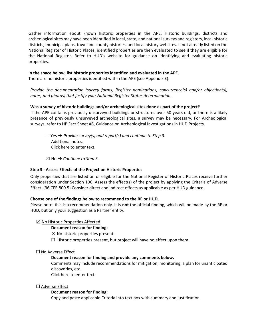Gather information about known historic properties in the APE. Historic buildings, districts and archeological sites may have been identified in local, state, and national surveys and registers, local historic districts, municipal plans, town and county histories, and local history websites. If not already listed on the National Register of Historic Places, identified properties are then evaluated to see if they are eligible for the National Register. Refer to HUD's website for guidance on identifying and evaluating historic properties.

#### **In the space below, list historic properties identified and evaluated in the APE.**

There are no historic properties identified within the APE (see Appendix E).

*Provide the documentation (survey forms, Register nominations, concurrence(s) and/or objection(s), notes, and photos) that justify your National Register Status determination.* 

#### **Was a survey of historic buildings and/or archeological sites done as part of the project?**

If the APE contains previously unsurveyed buildings or structures over 50 years old, or there is a likely presence of previously unsurveyed archeological sites, a survey may be necessary. For Archeological surveys, refer to HP Fact Sheet #6[, Guidance on Archeological Investigations in HUD Projects.](https://www.hudexchange.info/resource/287/hp-fact-sheet-6-guidance-on-archeological-investigations-in-hud-projects/)

 $□$  Yes  $→$  Provide survey(s) and report(s) and continue to Step 3. Additional notes: Click here to enter text.

 $\boxtimes$  No  $\rightarrow$  Continue to Step 3.

#### **Step 3 - Assess Effects of the Project on Historic Properties**

Only properties that are listed on or eligible for the National Register of Historic Places receive further consideration under Section 106. Assess the effect(s) of the project by applying the Criteria of Adverse Effect. [\(36 CFR 800.5\)](https://www.govinfo.gov/app/details/CFR-2011-title36-vol3/CFR-2011-title36-vol3-sec800-5) Consider direct and indirect effects as applicable as per HUD guidance.

#### **Choose one of the findings below to recommend to the RE or HUD.**

Please note: this is a recommendation only. It is **not** the official finding, which will be made by the RE or HUD, but only your suggestion as a Partner entity.

☒ No Historic Properties Affected

#### **Document reason for finding:**

 $\boxtimes$  No historic properties present.

 $\Box$  Historic properties present, but project will have no effect upon them.

#### ☐ No Adverse Effect

#### **Document reason for finding and provide any comments below.**

Comments may include recommendations for mitigation, monitoring, a plan for unanticipated discoveries, etc.

Click here to enter text.

#### ☐ Adverse Effect

#### **Document reason for finding:**

Copy and paste applicable Criteria into text box with summary and justification.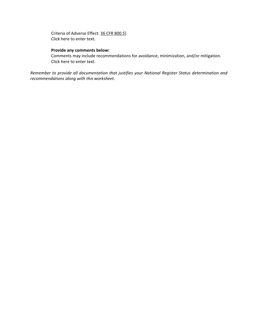Criteria of Adverse Effect[: 36 CFR 800.5\]](https://www.govinfo.gov/app/details/CFR-2011-title36-vol3/CFR-2011-title36-vol3-sec800-5) Click here to enter text.

#### **Provide any comments below:**

Comments may include recommendations for avoidance, minimization, and/or mitigation. Click here to enter text.

*Remember to provide all documentation that justifies your National Register Status determination and recommendations along with this worksheet.*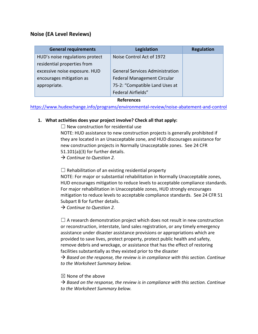# **Noise (EA Level Reviews)**

| <b>General requirements</b>       | Legislation                            | <b>Regulation</b> |  |  |
|-----------------------------------|----------------------------------------|-------------------|--|--|
| HUD's noise regulations protect   | Noise Control Act of 1972              |                   |  |  |
| residential properties from       |                                        |                   |  |  |
| excessive noise exposure. HUD     | <b>General Services Administration</b> |                   |  |  |
| encourages mitigation as          | Federal Management Circular            |                   |  |  |
| appropriate.                      | 75-2: "Compatible Land Uses at         |                   |  |  |
|                                   | <b>Federal Airfields"</b>              |                   |  |  |
| <b>B</b> - <i>C</i> - - - - - - - |                                        |                   |  |  |

**References**

https://www.hudexchange.info/programs/environmental-review/noise-abatement-and-control

# **1. What activities does your project involve? Check all that apply:**

 $\Box$  New construction for residential use

NOTE: HUD assistance to new construction projects is generally prohibited if they are located in an Unacceptable zone, and HUD discourages assistance for new construction projects in Normally Unacceptable zones. See 24 CFR 51.101(a)(3) for further details.

*Continue to Question 2.* 

 $\Box$  Rehabilitation of an existing residential property

NOTE: For major or substantial rehabilitation in Normally Unacceptable zones, HUD encourages mitigation to reduce levels to acceptable compliance standards. For major rehabilitation in Unacceptable zones, HUD strongly encourages mitigation to reduce levels to acceptable compliance standards. See 24 CFR 51 Subpart B for further details.

*Continue to Question 2.* 

 $\Box$  A research demonstration project which does not result in new construction or reconstruction, interstate, land sales registration, or any timely emergency assistance under disaster assistance provisions or appropriations which are provided to save lives, protect property, protect public health and safety, remove debris and wreckage, or assistance that has the effect of restoring facilities substantially as they existed prior to the disaster

 *Based on the response, the review is in compliance with this section. Continue to the Worksheet Summary below.*

 $\boxtimes$  None of the above

 $\rightarrow$  Based on the response, the review is in compliance with this section. Continue *to the Worksheet Summary below.*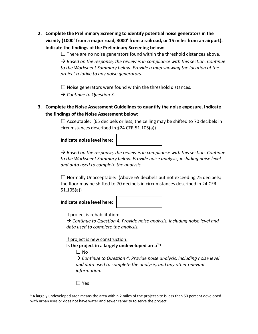**2. Complete the Preliminary Screening to identify potential noise generators in the vicinity (1000' from a major road, 3000' from a railroad, or 15 miles from an airport). Indicate the findings of the Preliminary Screening below:** 

> $\Box$  There are no noise generators found within the threshold distances above.  $\rightarrow$  Based on the response, the review is in compliance with this section. Continue *to the Worksheet Summary below. Provide a map showing the location of the project relative to any noise generators.*

 $\Box$  Noise generators were found within the threshold distances.

*Continue to Question 3.* 

**3. Complete the Noise Assessment Guidelines to quantify the noise exposure. Indicate the findings of the Noise Assessment below:**

> $\Box$  Acceptable: (65 decibels or less; the ceiling may be shifted to 70 decibels in circumstances described in §24 CFR 51.105(a))

**Indicate noise level here:** 

|  | and the control of the control of the control of the control of the control of the control of the control of the |  |
|--|------------------------------------------------------------------------------------------------------------------|--|
|  |                                                                                                                  |  |
|  |                                                                                                                  |  |
|  |                                                                                                                  |  |
|  |                                                                                                                  |  |
|  |                                                                                                                  |  |
|  |                                                                                                                  |  |
|  |                                                                                                                  |  |
|  |                                                                                                                  |  |

 $\rightarrow$  Based on the response, the review is in compliance with this section. Continue to the Worksheet Summary below. Provide noise analysis, including noise level *and data used to complete the analysis.*

 $\Box$  Normally Unacceptable: (Above 65 decibels but not exceeding 75 decibels; the floor may be shifted to 70 decibels in circumstances described in 24 CFR 51.105(a))

| Indicate noise level here: |
|----------------------------|
|----------------------------|

If project is rehabilitation:

 *Continue to Question 4. Provide noise analysis, including noise level and data used to complete the analysis.* 

If project is new construction:

**Is the project in a largely undeveloped area[1](#page-34-0)?** 

 $\Box$  No

 *Continue to Question 4. Provide noise analysis, including noise level and data used to complete the analysis, and any other relevant information.* 

☐ Yes

<span id="page-34-0"></span> $1$  A largely undeveloped area means the area within 2 miles of the project site is less than 50 percent developed with urban uses or does not have water and sewer capacity to serve the project.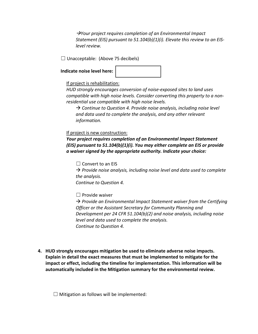*Your project requires completion of an Environmental Impact Statement (EIS) pursuant to 51.104(b)(1)(i). Elevate this review to an EISlevel review.* 

 $\Box$  Unacceptable: (Above 75 decibels)

 $\overline{\phantom{a}}$ 

#### **Indicate noise level here:**

# If project is rehabilitation:

*HUD strongly encourages conversion of noise-exposed sites to land uses compatible with high noise levels. Consider converting this property to a nonresidential use compatible with high noise levels.* 

 *Continue to Question 4. Provide noise analysis, including noise level and data used to complete the analysis, and any other relevant information.* 

# If project is new construction:

*Your project requires completion of an Environmental Impact Statement (EIS) pursuant to 51.104(b)(1)(i). You may either complete an EIS or provide a waiver signed by the appropriate authority. Indicate your choice:*

 $\Box$  Convert to an EIS

 *Provide noise analysis, including noise level and data used to complete the analysis.* 

*Continue to Question 4.*

 $\Box$  Provide waiver

→ Provide an Environmental Impact Statement waiver from the Certifying *Officer or the Assistant Secretary for Community Planning and Development per 24 CFR 51.104(b)(2) and noise analysis, including noise level and data used to complete the analysis. Continue to Question 4.*

**4. HUD strongly encourages mitigation be used to eliminate adverse noise impacts. Explain in detail the exact measures that must be implemented to mitigate for the impact or effect, including the timeline for implementation. This information will be automatically included in the Mitigation summary for the environmental review.** 

 $\Box$  Mitigation as follows will be implemented: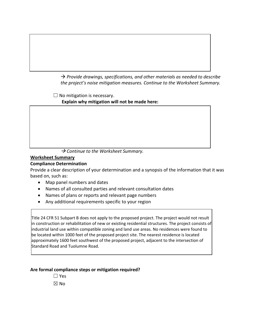*Provide drawings, specifications, and other materials as needed to describe the project's noise mitigation measures. Continue to the Worksheet Summary.* 

 $\Box$  No mitigation is necessary.

**Explain why mitigation will not be made here:** 

→ Continue to the Worksheet Summary.

# **Worksheet Summary**

 $\overline{\phantom{a}}$ 

# **Compliance Determination**

Provide a clear description of your determination and a synopsis of the information that it was based on, such as:

- Map panel numbers and dates
- Names of all consulted parties and relevant consultation dates
- Names of plans or reports and relevant page numbers
- Any additional requirements specific to your region

Title 24 CFR 51 Subpart B does not apply to the proposed project. The project would not result in construction or rehabilitation of new or existing residential structures. The project consists of industrial land use within compatible zoning and land use areas. No residences were found to be located within 1000 feet of the proposed project site. The nearest residence is located approximately 1600 feet southwest of the proposed project, adjacent to the intersection of Standard Road and Tuolumne Road.

# **Are formal compliance steps or mitigation required?**

☐ Yes  $\boxtimes$  No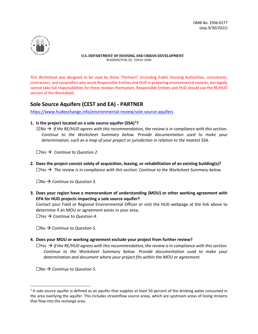

This Worksheet was designed to be used by those "Partners" (including Public Housing Authorities, consultants, contractors, and nonprofits) who assist Responsible Entities and HUD in preparing environmental reviews, but legally cannot take full responsibilities for these reviews themselves. Responsible Entities and HUD should use the RE/HUD version of the Worksheet.

# **Sole Source Aquifers (CEST and EA) - PARTNER**

<https://www.hudexchange.info/environmental-review/sole-source-aquifers>

#### **1. Is the project located on a sole source aquifer (SSA)[1](#page-37-0) ?**

 $\boxtimes$ No  $\rightarrow$  If the RE/HUD agrees with this recommendation, the review is in compliance with this section. *Continue to the Worksheet Summary below. Provide documentation used to make your determination, such as a map of your project or jurisdiction in relation to the nearest SSA.*

 $\Box$ Yes  $\rightarrow$  *Continue to Question 2.* 

**2. Does the project consist solely of acquisition, leasing, or rehabilitation of an existing building(s)?**  $\Box$ Yes  $\rightarrow$  The review is in compliance with this section. Continue to the Worksheet Summary below.

☐No *Continue to Question 3.*

**3. Does your region have a memorandum of understanding (MOU) or other working agreement with EPA for HUD projects impacting a sole source aquifer?** 

Contact your Field or Regional Environmental Officer or visit the HUD webpage at the link above to determine if an MOU or agreement exists in your area.

☐Yes *Continue to Question 4.*

☐No *Continue to Question 5.*

#### **4. Does your MOU or working agreement exclude your project from further review?**

 $\Box$ Yes  $\rightarrow$  If the RE/HUD agrees with this recommendation, the review is in compliance with this section. *Continue to the Worksheet Summary below. Provide documentation used to make your determination and document where your project fits within the MOU or agreement.*

☐No *Continue to Question 5.*

<span id="page-37-0"></span> $1$  A sole source aquifer is defined as an aquifer that supplies at least 50 percent of the drinking water consumed in the area overlying the aquifer. This includes streamflow source areas, which are upstream areas of losing streams that flow into the recharge area.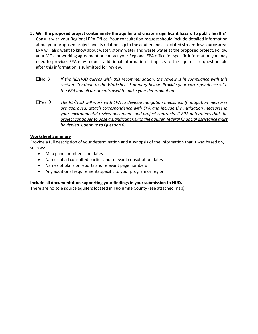- **5. Will the proposed project contaminate the aquifer and create a significant hazard to public health?** Consult with your Regional EPA Office. Your consultation request should include detailed information about your proposed project and its relationship to the aquifer and associated streamflow source area. EPA will also want to know about water, storm water and waste water at the proposed project. Follow your MOU or working agreement or contact your Regional EPA office for specific information you may need to provide. EPA may request additional information if impacts to the aquifer are questionable after this information is submitted for review.
	- $\square$ No  $\rightarrow$  If the RE/HUD agrees with this recommendation, the review is in compliance with this *section. Continue to the Worksheet Summary below. Provide your correspondence with the EPA and all documents used to make your determination*.
	- $\Box$ Yes  $\rightarrow$  The RE/HUD will work with EPA to develop mitigation measures. If mitigation measures *are approved, attach correspondence with EPA and include the mitigation measures in your environmental review documents and project contracts. If EPA determines that the project continues to pose a significant risk to the aquifer, federal financial assistance must be denied. Continue to Question 6.*

#### **Worksheet Summary**

Provide a full description of your determination and a synopsis of the information that it was based on, such as:

- Map panel numbers and dates
- Names of all consulted parties and relevant consultation dates
- Names of plans or reports and relevant page numbers
- Any additional requirements specific to your program or region

#### **Include all documentation supporting your findings in your submission to HUD.**

There are no sole source aquifers located in Tuolumne County (see attached map).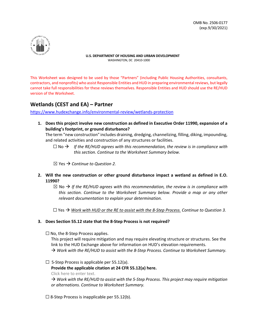

This Worksheet was designed to be used by those "Partners" (including Public Housing Authorities, consultants, contractors, and nonprofits) who assist Responsible Entities and HUD in preparing environmental reviews, but legally cannot take full responsibilities for these reviews themselves. Responsible Entities and HUD should use the RE/HUD version of the Worksheet.

# **Wetlands (CEST and EA) – Partner**

<https://www.hudexchange.info/environmental-review/wetlands-protection>

**1. Does this project involve new construction as defined in Executive Order 11990, expansion of a building's footprint, or ground disturbance?**

The term "new construction" includes draining, dredging, channelizing, filling, diking, impounding, and related activities and construction of any structures or facilities.

 $\Box$  No  $\rightarrow$  If the RE/HUD agrees with this recommendation, the review is in compliance with *this section. Continue to the Worksheet Summary below.*

 $\boxtimes$  Yes  $\rightarrow$  Continue to Question 2.

- **2. Will the new construction or other ground disturbance impact a wetland as defined in E.O. 11990?** 
	- $\boxtimes$  No  $\rightarrow$  If the RE/HUD agrees with this recommendation, the review is in compliance with *this section. Continue to the Worksheet Summary below. Provide a map or any other relevant documentation to explain your determination.*

☐ Yes *Work with HUD or the RE to assist with the 8-Step Process. Continue to Question 3.*

#### **3. Does Section 55.12 state that the 8-Step Process is not required?**

 $\Box$  No, the 8-Step Process applies.

This project will require mitigation and may require elevating structure or structures. See the link to the HUD Exchange above for information on HUD's elevation requirements. *Work with the RE/HUD to assist with the 8-Step Process. Continue to Worksheet Summary.*

 $\Box$  5-Step Process is applicable per 55.12(a).

**Provide the applicable citation at 24 CFR 55.12(a) here.** 

Click here to enter text.

 *Work with the RE/HUD to assist with the 5-Step Process. This project may require mitigation or alternations. Continue to Worksheet Summary.*

 $\Box$  8-Step Process is inapplicable per 55.12(b).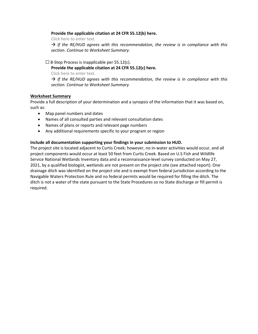#### **Provide the applicable citation at 24 CFR 55.12(b) here.**

Click here to enter text.

 $\rightarrow$  If the RE/HUD agrees with this recommendation, the review is in compliance with this *section. Continue to Worksheet Summary.*

 $\Box$  8-Step Process is inapplicable per 55.12(c).

**Provide the applicable citation at 24 CFR 55.12(c) here.**

Click here to enter text.

 $\rightarrow$  If the RE/HUD agrees with this recommendation, the review is in compliance with this *section. Continue to Worksheet Summary.*

#### **Worksheet Summary**

Provide a full description of your determination and a synopsis of the information that it was based on, such as:

- Map panel numbers and dates
- Names of all consulted parties and relevant consultation dates
- Names of plans or reports and relevant page numbers
- Any additional requirements specific to your program or region

#### **Include all documentation supporting your findings in your submission to HUD.**

The project site is located adjacent to Curtis Creek; however, no in-water activities would occur, and all project components would occur at least 50 feet from Curtis Creek. Based on U.S Fish and Wildlife Service National Wetlands Inventory data and a reconnaissance-level survey conducted on May 27, 2021, by a qualified biologist, wetlands are not present on the project site (see attached report). One drainage ditch was identified on the project site and is exempt from federal jurisdiction according to the Navigable Waters Protection Rule and no federal permits would be required for filling the ditch. The ditch is not a water of the state pursuant to the State Procedures so no State discharge or fill permit is required.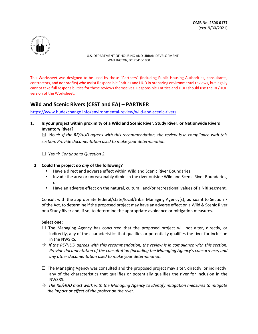

This Worksheet was designed to be used by those "Partners" (including Public Housing Authorities, consultants, contractors, and nonprofits) who assist Responsible Entities and HUD in preparing environmental reviews, but legally cannot take full responsibilities for these reviews themselves. Responsible Entities and HUD should use the RE/HUD version of the Worksheet.

# **Wild and Scenic Rivers (CEST and EA) – PARTNER**

<https://www.hudexchange.info/environmental-review/wild-and-scenic-rivers>

**1. Is your project within proximity of a Wild and Scenic River, Study River, or Nationwide Rivers Inventory River?** 

 $\boxtimes$  No  $\rightarrow$  If the RE/HUD agrees with this recommendation, the review is in compliance with this *section. Provide documentation used to make your determination.* 

☐ Yes *Continue to Question 2.* 

#### **2. Could the project do** *any* **of the following?**

- Have a direct and adverse effect within Wild and Scenic River Boundaries,
- **Invade the area or unreasonably diminish the river outside Wild and Scenic River Boundaries,** or
- Have an adverse effect on the natural, cultural, and/or recreational values of a NRI segment.

Consult with the appropriate federal/state/local/tribal Managing Agency(s), pursuant to Section 7 of the Act, to determine if the proposed project may have an adverse effect on a Wild & Scenic River or a Study River and, if so, to determine the appropriate avoidance or mitigation measures.

#### **Select one:**

- $\Box$  The Managing Agency has concurred that the proposed project will not alter, directly, or indirectly, any of the characteristics that qualifies or potentially qualifies the river for inclusion in the NWSRS.
- $\rightarrow$  If the RE/HUD agrees with this recommendation, the review is in compliance with this section. *Provide documentation of the consultation (including the Managing Agency's concurrence) and any other documentation used to make your determination.*
- $\Box$  The Managing Agency was consulted and the proposed project may alter, directly, or indirectly, any of the characteristics that qualifies or potentially qualifies the river for inclusion in the NWSRS.
- *The RE/HUD must work with the Managing Agency to identify mitigation measures to mitigate the impact or effect of the project on the river.*